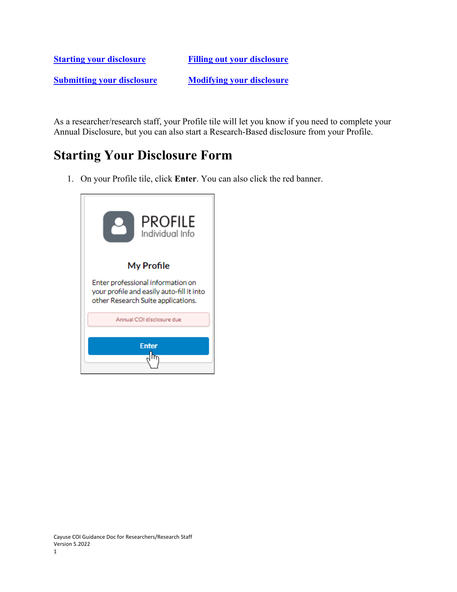**[Starting your disclosure](#page-0-0) [Filling out your disclosure](#page-2-0) [Submitting your disclosure](#page-11-0) [Modifying your disclosure](#page-11-1)**

As a researcher/research staff, your Profile tile will let you know if you need to complete your Annual Disclosure, but you can also start a Research-Based disclosure from your Profile.

#### <span id="page-0-0"></span>**Starting Your Disclosure Form**

1. On your Profile tile, click **Enter**. You can also click the red banner.

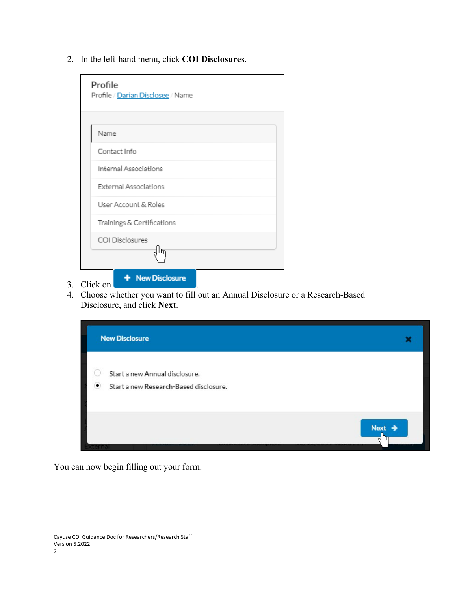2. In the left-hand menu, click **COI Disclosures**.

| Profile<br>Profile / Darian Disclosee / Name |
|----------------------------------------------|
|                                              |
| Name                                         |
| Contact Info                                 |
| Internal Associations                        |
| External Associations                        |
| User Account & Roles                         |
| Trainings & Certifications                   |
| COI Disclosures                              |
|                                              |
| <b>Mour Disalascus</b>                       |

- 3. Click on
- 4. Choose whether you want to fill out an Annual Disclosure or a Research-Based Disclosure, and click **Next**.



You can now begin filling out your form.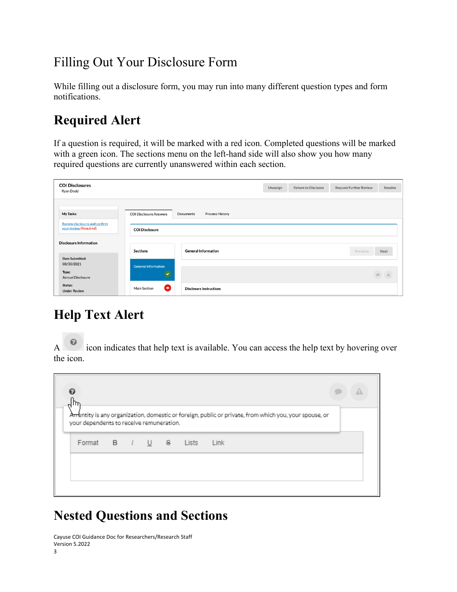# <span id="page-2-0"></span>Filling Out Your Disclosure Form

While filling out a disclosure form, you may run into many different question types and form notifications.

# **Required Alert**

If a question is required, it will be marked with a red icon. Completed questions will be marked with a green icon. The sections menu on the left-hand side will also show you how many required questions are currently unanswered within each section.

| <b>COI Disclosures</b><br>Ryan Dodd                     |                                  |                                | Unassign | <b>Return to Disclosee</b> | <b>Request Further Review</b> | Resolve                                                                              |
|---------------------------------------------------------|----------------------------------|--------------------------------|----------|----------------------------|-------------------------------|--------------------------------------------------------------------------------------|
| My Tasks:                                               | <b>COI Disclosure Answers</b>    | Process History<br>Documents   |          |                            |                               |                                                                                      |
| Review disclosure and confirm<br>your review (Required) | <b>COI Disclosure</b>            |                                |          |                            |                               |                                                                                      |
| <b>Disclosure Information</b><br>Date Submitted:        | <b>Sections</b>                  | <b>General Information</b>     |          |                            | Previous                      | Next                                                                                 |
| 08/30/2021                                              | <b>General Information</b>       |                                |          |                            |                               |                                                                                      |
| Type:<br>Annual Disclosure                              |                                  |                                |          |                            |                               | $\begin{tabular}{ c c c c } \hline $\bullet$ & $\mathbb{A}$ \\ \hline \end{tabular}$ |
| Status:<br><b>Under Review</b>                          | $\bullet$<br><b>Main Section</b> | <b>Disclosure Instructions</b> |          |                            |                               |                                                                                      |

# **Help Text Alert**

A icon indicates that help text is available. You can access the help text by hovering over the icon.

| ค<br>m                                   |  |  |                                                                                                        |
|------------------------------------------|--|--|--------------------------------------------------------------------------------------------------------|
| your dependents to receive remuneration. |  |  | Arrentity is any organization, domestic or foreign, public or private, from which you, your spouse, or |
| Format B / U & Lists                     |  |  | Link                                                                                                   |
|                                          |  |  |                                                                                                        |

# **Nested Questions and Sections**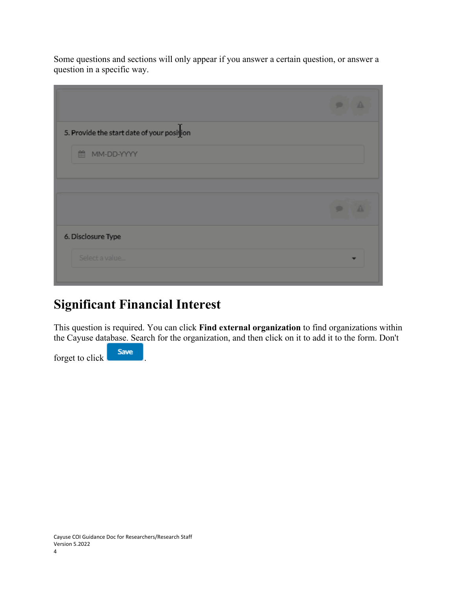Some questions and sections will only appear if you answer a certain question, or answer a question in a specific way.

|                                            | $\bullet$<br>49   |
|--------------------------------------------|-------------------|
| 5. Provide the start date of your position |                   |
| ■ MM-DD-YYYY                               |                   |
|                                            |                   |
|                                            |                   |
|                                            | $\mathbf{A}$<br>۰ |
| 6. Disclosure Type                         |                   |

## **Significant Financial Interest**

This question is required. You can click **Find external organization** to find organizations within the Cayuse database. Search for the organization, and then click on it to add it to the form. Don't

forget to click **Save**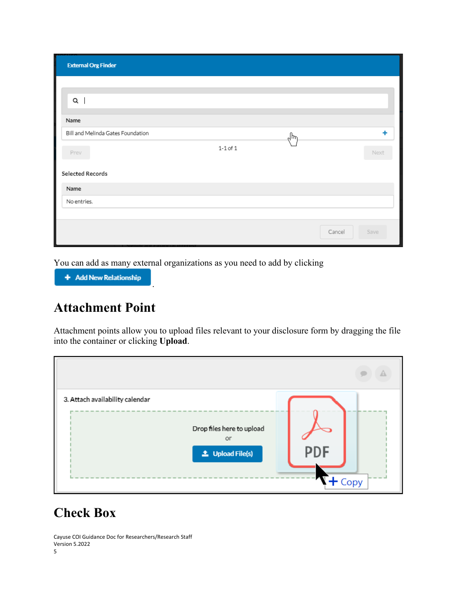| <b>External Org Finder</b>        |              |     |                |
|-----------------------------------|--------------|-----|----------------|
|                                   |              |     |                |
| Q                                 |              |     |                |
| Name                              |              |     |                |
| Bill and Melinda Gates Foundation |              | ᡕᠠᢔ | ٠              |
| Prev                              | $1-1$ of $1$ |     | Next           |
| Selected Records                  |              |     |                |
| Name                              |              |     |                |
| No entries.                       |              |     |                |
|                                   |              |     |                |
|                                   |              |     | Save<br>Cancel |

You can add as many external organizations as you need to add by clicking

.

+ Add New Relationship

#### **Attachment Point**

Attachment points allow you to upload files relevant to your disclosure form by dragging the file into the container or clicking **Upload**.

| 3. Attach availability calendar |                                                            |            |      |
|---------------------------------|------------------------------------------------------------|------------|------|
|                                 | Drop files here to upload<br>or<br><b>1</b> Upload File(s) | <b>PDF</b> |      |
|                                 |                                                            |            | Copy |

### **Check Box**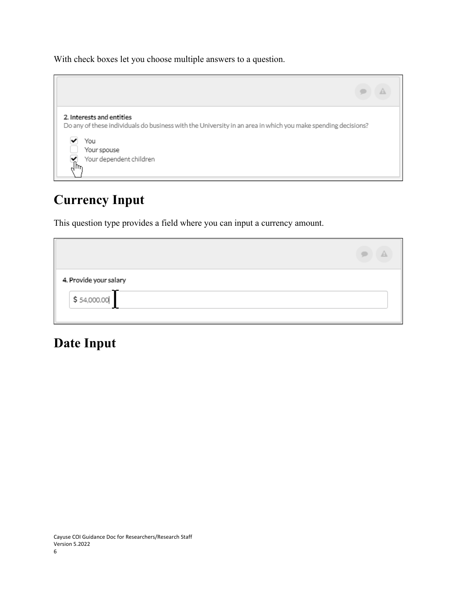With check boxes let you choose multiple answers to a question.



# **Currency Input**

This question type provides a field where you can input a currency amount.

| 4. Provide your salary |  |
|------------------------|--|
| \$54,000.00            |  |

#### **Date Input**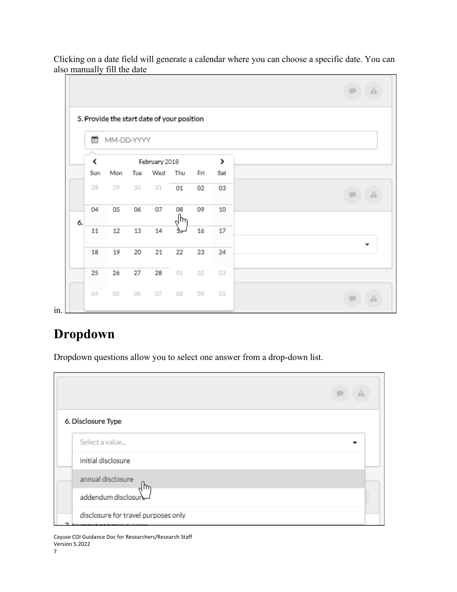| ≝   |     |     |        |            |                      |                                            |  |
|-----|-----|-----|--------|------------|----------------------|--------------------------------------------|--|
| ≺   |     |     |        |            |                      | >                                          |  |
| Sun | Mon | Tue | Wed    | Thu        | Fri                  | Sat                                        |  |
| 28  | 29  | 30  | 31     | 01         | 02                   | 03                                         |  |
| 04  | 05  | 06  | 07     | 08         | 09                   | 10                                         |  |
| 11  | 12  | 13  | $14\,$ | ෑ          | 16                   | 17                                         |  |
| 18  | 19  | 20  | 21     | 22         | 23                   | 24                                         |  |
| 25  | 26  | 27  | 28     | 01         | 02                   | 03                                         |  |
| 04  | 05  | 06  | 07     | 08         | 09                   | 10                                         |  |
|     |     |     |        | MM-DD-YYYY | February 2018<br>ᠷᡰᠡ | 5. Provide the start date of your position |  |

Clicking on a date field will generate a calendar where you can choose a specific date. You can also manually fill the date

#### **Dropdown**

Dropdown questions allow you to select one answer from a drop-down list.

| 6. Disclosure Type |                                     |  |
|--------------------|-------------------------------------|--|
| Select a value     |                                     |  |
| initial disclosure |                                     |  |
| annual disclosure  | ᠗ᡰᠠ                                 |  |
|                    | addendum disclosure                 |  |
|                    | disclosure for travel purposes only |  |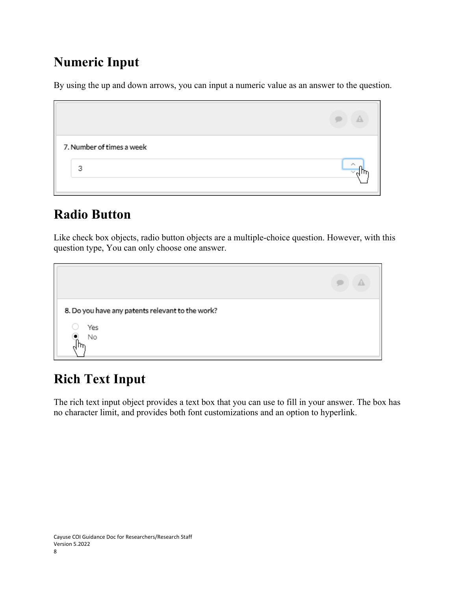# **Numeric Input**

By using the up and down arrows, you can input a numeric value as an answer to the question.

| 7. Number of times a week |                          |
|---------------------------|--------------------------|
| 3                         | $\overline{\phantom{a}}$ |

# **Radio Button**

Like check box objects, radio button objects are a multiple-choice question. However, with this question type, You can only choose one answer.

| 8. Do you have any patents relevant to the work? |  |
|--------------------------------------------------|--|
| Yes<br>۰<br>No                                   |  |
|                                                  |  |

# **Rich Text Input**

The rich text input object provides a text box that you can use to fill in your answer. The box has no character limit, and provides both font customizations and an option to hyperlink.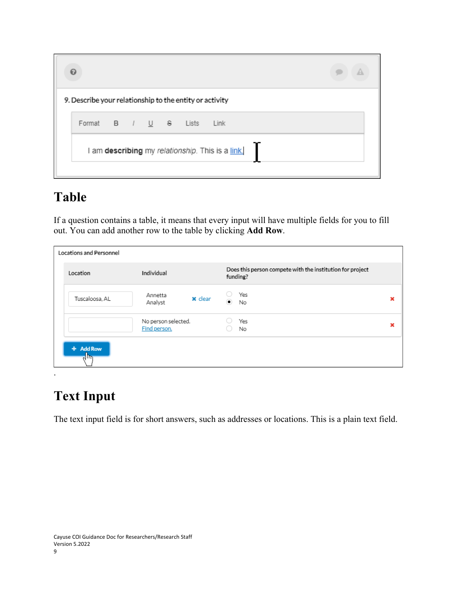| ค                                                       |  |  |                                                  |  |
|---------------------------------------------------------|--|--|--------------------------------------------------|--|
| 9. Describe your relationship to the entity or activity |  |  |                                                  |  |
| Format B / U & Lists                                    |  |  | Link                                             |  |
|                                                         |  |  | I am describing my relationship. This is a link. |  |

#### **Table**

If a question contains a table, it means that every input will have multiple fields for you to fill out. You can add another row to the table by clicking **Add Row**.

| Locations and Personnel             |                                     |                                                                       |   |
|-------------------------------------|-------------------------------------|-----------------------------------------------------------------------|---|
| Location                            | Individual                          | Does this person compete with the institution for project<br>funding? |   |
| Tuscaloosa, AL                      | Annetta<br>x clear<br>Analyst       | Yes<br>$\left( \bullet \right)$<br>No                                 | × |
|                                     | No person selected.<br>Find person. | Yes<br>No                                                             | × |
| + Add Row<br>$\sqrt{\hbar_{\rm m}}$ |                                     |                                                                       |   |

## **Text Input**

.

The text input field is for short answers, such as addresses or locations. This is a plain text field.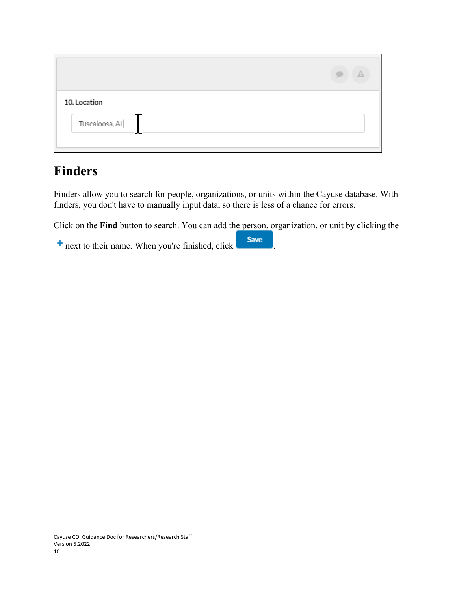| 10. Location                                          |  |
|-------------------------------------------------------|--|
| $\label{eq:2} \textsf{Tuscaloosa}, \textsf{AL}$<br>-- |  |
|                                                       |  |

#### **Finders**

Finders allow you to search for people, organizations, or units within the Cayuse database. With finders, you don't have to manually input data, so there is less of a chance for errors.

Click on the **Find** button to search. You can add the person, organization, or unit by clicking the

+ next to their name. When you're finished, click **Save**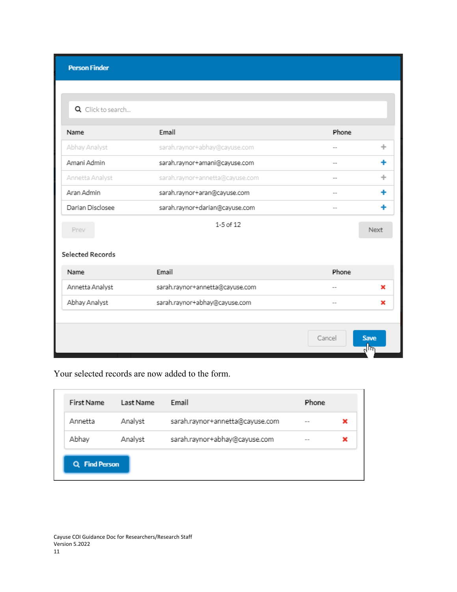| <b>Person Finder</b> |                                 |        |                 |
|----------------------|---------------------------------|--------|-----------------|
|                      |                                 |        |                 |
|                      |                                 |        |                 |
| Q Click to search    |                                 |        |                 |
| Name                 | Email                           | Phone  |                 |
| Abhay Analyst        | sarah.raynor+abhay@cayuse.com   |        | ÷               |
| Amani Admin          | sarah.raynor+amani@cayuse.com   |        | ٠               |
| Annetta Analyst      | sarah.raynor+annetta@cayuse.com |        | ÷               |
| Aran Admin           | sarah.raynor+aran@cayuse.com    |        | ۰               |
| Darian Disclosee     | sarah.raynor+darian@cayuse.com  | --     |                 |
| Prev                 | $1-5$ of $12$                   |        | Next            |
|                      |                                 |        |                 |
| Selected Records     |                                 |        |                 |
| Name                 | Email                           | Phone  |                 |
| Annetta Analyst      | sarah.raynor+annetta@cayuse.com |        | ×               |
| Abhay Analyst        | sarah.raynor+abhay@cayuse.com   |        | ×               |
|                      |                                 |        |                 |
|                      |                                 | Cancel | <b>Save</b>     |
|                      |                                 |        | $\frac{1}{2}$ س |

Your selected records are now added to the form.

| First Name | Last Name | Email                           | Phone |   |
|------------|-----------|---------------------------------|-------|---|
| Annetta    | Analyst   | sarah.raynor+annetta@cayuse.com | $-$   | × |
| Abhay      | Analyst   | sarah.raynor+abhay@cayuse.com   | --    | × |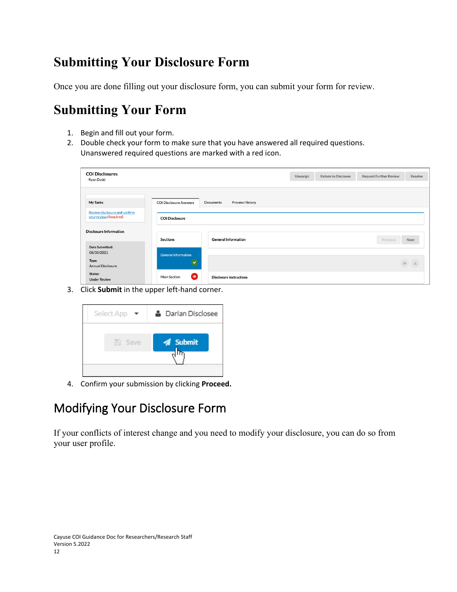# <span id="page-11-0"></span>**Submitting Your Disclosure Form**

Once you are done filling out your disclosure form, you can submit your form for review.

# **Submitting Your Form**

- 1. Begin and fill out your form.
- 2. Double check your form to make sure that you have answered all required questions. Unanswered required questions are marked with a red icon.

| <b>COI Disclosures</b><br>Ryan Dodd        |                               |                                | Unassign | <b>Return to Disclosee</b> | <b>Request Further Review</b> | Resolve                                                                              |
|--------------------------------------------|-------------------------------|--------------------------------|----------|----------------------------|-------------------------------|--------------------------------------------------------------------------------------|
| My Tasks:<br>Review disclosure and confirm | <b>COI Disclosure Answers</b> | Documents<br>Process History   |          |                            |                               |                                                                                      |
| your review (Required)                     | <b>COI Disclosure</b>         |                                |          |                            |                               |                                                                                      |
| <b>Disclosure Information</b>              | <b>Sections</b>               | <b>General Information</b>     |          |                            | Previous                      | Next                                                                                 |
| Date Submitted:<br>08/30/2021              | <b>General Information</b>    |                                |          |                            |                               |                                                                                      |
| Type:<br>Annual Disclosure                 |                               |                                |          |                            |                               | $\begin{tabular}{ c c c c } \hline $\bullet$ & $\mathbb{A}$ \\ \hline \end{tabular}$ |
| Status:<br><b>Under Review</b>             | $\bullet$<br>Main Section     | <b>Disclosure Instructions</b> |          |                            |                               |                                                                                      |

3. Click **Submit** in the upper left-hand corner.



4. Confirm your submission by clicking **Proceed.**

## <span id="page-11-1"></span>Modifying Your Disclosure Form

If your conflicts of interest change and you need to modify your disclosure, you can do so from your user profile.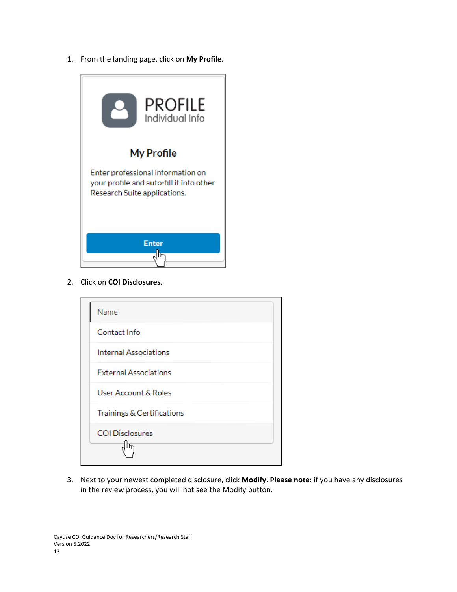1. From the landing page, click on **My Profile**.



2. Click on **COI Disclosures**.

| Name                         |  |
|------------------------------|--|
| Contact Info                 |  |
| <b>Internal Associations</b> |  |
| <b>External Associations</b> |  |
| User Account & Roles         |  |
| Trainings & Certifications   |  |
| <b>COI Disclosures</b>       |  |
|                              |  |

3. Next to your newest completed disclosure, click **Modify**. **Please note**: if you have any disclosures in the review process, you will not see the Modify button.